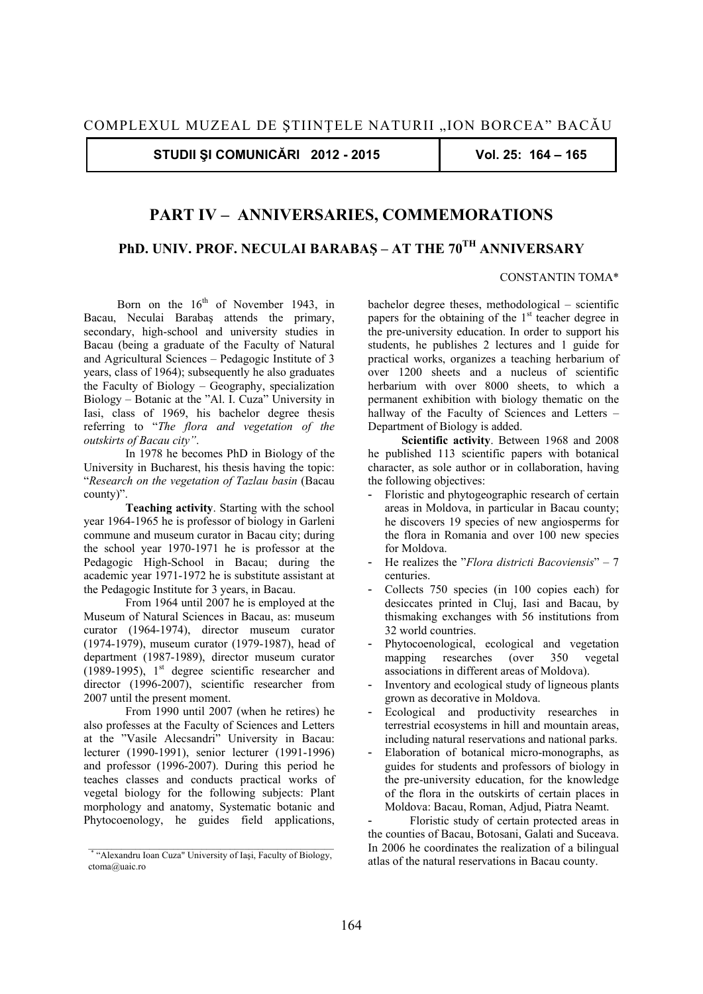**STUDII ŞI COMUNICĂRI 2012 - 2015 Vol. 25: 164 – 165** 

## **PART IV – ANNIVERSARIES, COMMEMORATIONS**

## **PhD. UNIV. PROF. NECULAI BARABAŞ – AT THE 70TH ANNIVERSARY**

## CONSTANTIN TOMA\*

Born on the  $16<sup>th</sup>$  of November 1943, in Bacau, Neculai Barabaş attends the primary, secondary, high-school and university studies in Bacau (being a graduate of the Faculty of Natural and Agricultural Sciences – Pedagogic Institute of 3 years, class of 1964); subsequently he also graduates the Faculty of Biology – Geography, specialization Biology – Botanic at the "Al. I. Cuza" University in Iasi, class of 1969, his bachelor degree thesis referring to "*The flora and vegetation of the outskirts of Bacau city"*.

 In 1978 he becomes PhD in Biology of the University in Bucharest, his thesis having the topic: "*Research on the vegetation of Tazlau basin* (Bacau county)".

**Teaching activity**. Starting with the school year 1964-1965 he is professor of biology in Garleni commune and museum curator in Bacau city; during the school year 1970-1971 he is professor at the Pedagogic High-School in Bacau; during the academic year 1971-1972 he is substitute assistant at the Pedagogic Institute for 3 years, in Bacau.

 From 1964 until 2007 he is employed at the Museum of Natural Sciences in Bacau, as: museum curator (1964-1974), director museum curator (1974-1979), museum curator (1979-1987), head of department (1987-1989), director museum curator (1989-1995),  $1<sup>st</sup>$  degree scientific researcher and director (1996-2007), scientific researcher from 2007 until the present moment.

 From 1990 until 2007 (when he retires) he also professes at the Faculty of Sciences and Letters at the "Vasile Alecsandri" University in Bacau: lecturer (1990-1991), senior lecturer (1991-1996) and professor (1996-2007). During this period he teaches classes and conducts practical works of vegetal biology for the following subjects: Plant morphology and anatomy, Systematic botanic and Phytocoenology, he guides field applications,

bachelor degree theses, methodological – scientific papers for the obtaining of the 1<sup>st</sup> teacher degree in the pre-university education. In order to support his students, he publishes 2 lectures and 1 guide for practical works, organizes a teaching herbarium of over 1200 sheets and a nucleus of scientific herbarium with over 8000 sheets, to which a permanent exhibition with biology thematic on the hallway of the Faculty of Sciences and Letters -Department of Biology is added.

**Scientific activity**. Between 1968 and 2008 he published 113 scientific papers with botanical character, as sole author or in collaboration, having the following objectives:

- Floristic and phytogeographic research of certain areas in Moldova, in particular in Bacau county; he discovers 19 species of new angiosperms for the flora in Romania and over 100 new species for Moldova.
- He realizes the "*Flora districti Bacoviensis*" 7 centuries.
- Collects 750 species (in 100 copies each) for desiccates printed in Cluj, Iasi and Bacau, by thismaking exchanges with 56 institutions from 32 world countries.
- Phytocoenological, ecological and vegetation mapping researches (over 350 vegetal associations in different areas of Moldova).
- Inventory and ecological study of ligneous plants grown as decorative in Moldova.
- Ecological and productivity researches in terrestrial ecosystems in hill and mountain areas, including natural reservations and national parks.
- Elaboration of botanical micro-monographs, as guides for students and professors of biology in the pre-university education, for the knowledge of the flora in the outskirts of certain places in Moldova: Bacau, Roman, Adjud, Piatra Neamt.

Floristic study of certain protected areas in the counties of Bacau, Botosani, Galati and Suceava. In 2006 he coordinates the realization of a bilingual atlas of the natural reservations in Bacau county.

<sup>\*</sup> "Alexandru Ioan Cuza" University of Iaşi, Faculty of Biology, ctoma@uaic.ro